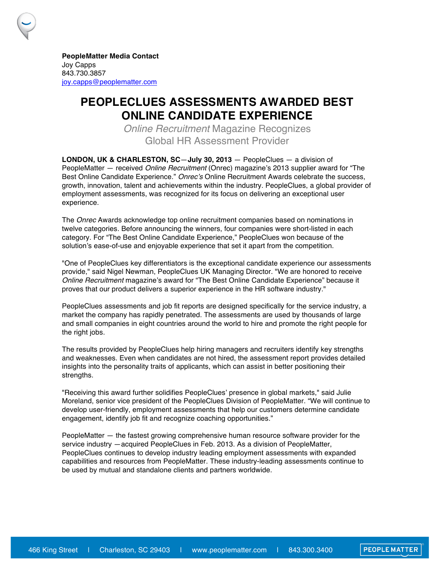**PeopleMatter Media Contact** Joy Capps 843.730.3857 joy.capps@peoplematter.com

## **PEOPLECLUES ASSESSMENTS AWARDED BEST ONLINE CANDIDATE EXPERIENCE**

*Online Recruitment* Magazine Recognizes Global HR Assessment Provider

**LONDON, UK & CHARLESTON, SC**—**July 30, 2013** — PeopleClues — a division of PeopleMatter — received *Online Recruitment* (Onrec) magazine's 2013 supplier award for "The Best Online Candidate Experience." *Onrec*'*s* Online Recruitment Awards celebrate the success, growth, innovation, talent and achievements within the industry. PeopleClues, a global provider of employment assessments, was recognized for its focus on delivering an exceptional user experience.

The *Onrec* Awards acknowledge top online recruitment companies based on nominations in twelve categories. Before announcing the winners, four companies were short-listed in each category. For "The Best Online Candidate Experience," PeopleClues won because of the solution's ease-of-use and enjoyable experience that set it apart from the competition.

"One of PeopleClues key differentiators is the exceptional candidate experience our assessments provide," said Nigel Newman, PeopleClues UK Managing Director. "We are honored to receive *Online Recruitment* magazine's award for "The Best Online Candidate Experience" because it proves that our product delivers a superior experience in the HR software industry."

PeopleClues assessments and job fit reports are designed specifically for the service industry, a market the company has rapidly penetrated. The assessments are used by thousands of large and small companies in eight countries around the world to hire and promote the right people for the right jobs.

The results provided by PeopleClues help hiring managers and recruiters identify key strengths and weaknesses. Even when candidates are not hired, the assessment report provides detailed insights into the personality traits of applicants, which can assist in better positioning their strengths.

"Receiving this award further solidifies PeopleClues' presence in global markets," said Julie Moreland, senior vice president of the PeopleClues Division of PeopleMatter. "We will continue to develop user-friendly, employment assessments that help our customers determine candidate engagement, identify job fit and recognize coaching opportunities."

PeopleMatter — the fastest growing comprehensive human resource software provider for the service industry —acquired PeopleClues in Feb. 2013. As a division of PeopleMatter, PeopleClues continues to develop industry leading employment assessments with expanded capabilities and resources from PeopleMatter. These industry-leading assessments continue to be used by mutual and standalone clients and partners worldwide.